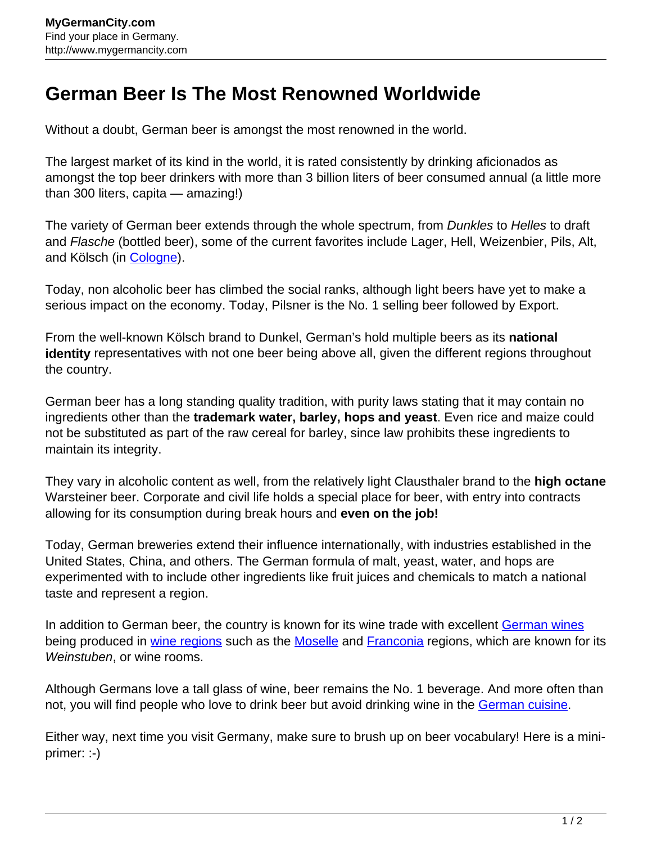## **German Beer Is The Most Renowned Worldwide**

Without a doubt, German beer is amongst the most renowned in the world.

The largest market of its kind in the world, it is rated consistently by drinking aficionados as amongst the top beer drinkers with more than 3 billion liters of beer consumed annual (a little more than 300 liters, capita — amazing!)

The variety of German beer extends through the whole spectrum, from *Dunkles* to Helles to draft and Flasche (bottled beer), some of the current favorites include Lager, Hell, Weizenbier, Pils, Alt, and Kölsch (in [Cologne\)](http://www.mygermancity.com/cologne).

Today, non alcoholic beer has climbed the social ranks, although light beers have yet to make a serious impact on the economy. Today, Pilsner is the No. 1 selling beer followed by Export.

From the well-known Kölsch brand to Dunkel, German's hold multiple beers as its **national identity** representatives with not one beer being above all, given the different regions throughout the country.

German beer has a long standing quality tradition, with purity laws stating that it may contain no ingredients other than the **trademark water, barley, hops and yeast**. Even rice and maize could not be substituted as part of the raw cereal for barley, since law prohibits these ingredients to maintain its integrity.

They vary in alcoholic content as well, from the relatively light Clausthaler brand to the **high octane** Warsteiner beer. Corporate and civil life holds a special place for beer, with entry into contracts allowing for its consumption during break hours and **even on the job!**

Today, German breweries extend their influence internationally, with industries established in the United States, China, and others. The German formula of malt, yeast, water, and hops are experimented with to include other ingredients like fruit juices and chemicals to match a national taste and represent a region.

In addition to German beer, the country is known for its wine trade with excellent [German wines](http://www.mygermancity.com/german-wine) being produced in [wine regions](http://www.mygermancity.com/german-wine-regions) such as the [Moselle](http://www.mygermancity.com/moselle) and [Franconia](http://www.mygermancity.com/franconia) regions, which are known for its Weinstuben, or wine rooms.

Although Germans love a tall glass of wine, beer remains the No. 1 beverage. And more often than not, you will find people who love to drink beer but avoid drinking wine in the [German cuisine](http://www.mygermancity.com/german-cuisine).

Either way, next time you visit Germany, make sure to brush up on beer vocabulary! Here is a miniprimer: :-)